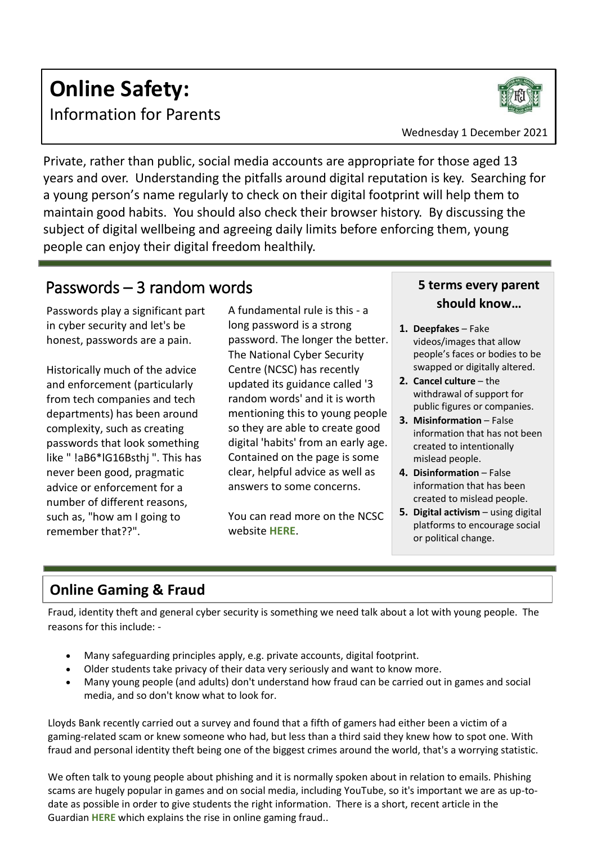# **Online Safety:**  Information for Parents



Wednesday 1 December 2021

Private, rather than public, social media accounts are appropriate for those aged 13 years and over. Understanding the pitfalls around digital reputation is key. Searching for a young person's name regularly to check on their digital footprint will help them to maintain good habits. You should also check their browser history. By discussing the subject of digital wellbeing and agreeing daily limits before enforcing them, young people can enjoy their digital freedom healthily.

### Passwords – 3 random words

Passwords play a significant part in cyber security and let's be honest, passwords are a pain.

Historically much of the advice and enforcement (particularly from tech companies and tech departments) has been around complexity, such as creating passwords that look something like " !aB6\*lG16Bsthj ". This has never been good, pragmatic advice or enforcement for a number of different reasons, such as, "how am I going to remember that??".

A fundamental rule is this - a long password is a strong password. The longer the better. The National Cyber Security Centre (NCSC) has recently updated its guidance called '3 random words' and it is worth mentioning this to young people so they are able to create good digital 'habits' from an early age. Contained on the page is some clear, helpful advice as well as answers to some concerns.

You can read more on the NCSC website **[HERE](https://esafety-adviser.us4.list-manage.com/track/click?u=cbd59b76f0e1ad9db768db345&id=2c1f036d9b&e=bc3e8f788f)**.

#### **5 terms every parent should know…**

- **1. Deepfakes** Fake videos/images that allow people's faces or bodies to be swapped or digitally altered.
- **2. Cancel culture** the withdrawal of support for public figures or companies.
- **3. Misinformation** False information that has not been created to intentionally mislead people.
- **4. Disinformation** False information that has been created to mislead people.
- **5. Digital activism** using digital platforms to encourage social or political change.

#### **Online Gaming & Fraud**

Fraud, identity theft and general cyber security is something we need talk about a lot with young people. The reasons for this include: -

- Many safeguarding principles apply, e.g. private accounts, digital footprint.
- Older students take privacy of their data very seriously and want to know more.
- Many young people (and adults) don't understand how fraud can be carried out in games and social media, and so don't know what to look for.

Lloyds Bank recently carried out a survey and found that a fifth of gamers had either been a victim of a gaming-related scam or knew someone who had, but less than a third said they knew how to spot one. With fraud and personal identity theft being one of the biggest crimes around the world, that's a worrying statistic.

We often talk to young people about phishing and it is normally spoken about in relation to emails. Phishing scams are hugely popular in games and on social media, including YouTube, so it's important we are as up-todate as possible in order to give students the right information. There is a short, recent article in the Guardian **[HERE](https://esafety-adviser.us4.list-manage.com/track/click?u=cbd59b76f0e1ad9db768db345&id=5f48bc3a29&e=bc3e8f788f)** which explains the rise in online gaming fraud..